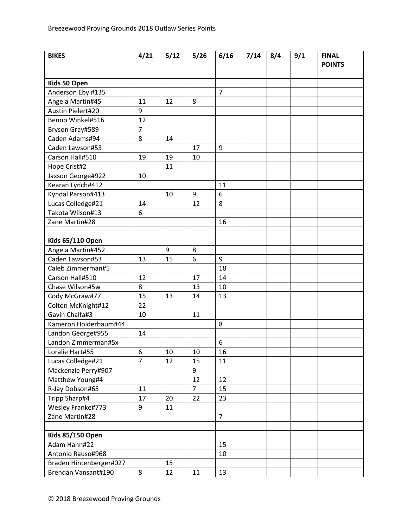| <b>BIKES</b>            | 4/21           | 5/12 | 5/26           | 6/16 | 7/14 | 8/4 | 9/1 | <b>FINAL</b><br><b>POINTS</b> |
|-------------------------|----------------|------|----------------|------|------|-----|-----|-------------------------------|
|                         |                |      |                |      |      |     |     |                               |
| Kids 50 Open            |                |      |                |      |      |     |     |                               |
| Anderson Eby #135       |                |      |                | 7    |      |     |     |                               |
| Angela Martin#45        | 11             | 12   | 8              |      |      |     |     |                               |
| Austin Pielert#20       | 9              |      |                |      |      |     |     |                               |
| Benno Winkel#516        | 12             |      |                |      |      |     |     |                               |
| Bryson Gray#589         | $\overline{7}$ |      |                |      |      |     |     |                               |
| Caden Adams#94          | 8              | 14   |                |      |      |     |     |                               |
| Caden Lawson#53         |                |      | 17             | 9    |      |     |     |                               |
| Carson Hall#510         | 19             | 19   | 10             |      |      |     |     |                               |
| Hope Crist#2            |                | 11   |                |      |      |     |     |                               |
| Jaxson George#922       | 10             |      |                |      |      |     |     |                               |
| Kearan Lynch#412        |                |      |                | 11   |      |     |     |                               |
| Kyndal Parson#413       |                | 10   | $9\,$          | 6    |      |     |     |                               |
| Lucas Colledge#21       | 14             |      | 12             | 8    |      |     |     |                               |
| Takota Wilson#13        | 6              |      |                |      |      |     |     |                               |
| Zane Martin#28          |                |      |                | 16   |      |     |     |                               |
|                         |                |      |                |      |      |     |     |                               |
| <b>Kids 65/110 Open</b> |                |      |                |      |      |     |     |                               |
| Angela Martin#452       |                | 9    | 8              |      |      |     |     |                               |
| Caden Lawson#53         | 13             | 15   | 6              | 9    |      |     |     |                               |
| Caleb Zimmerman#5       |                |      |                | 18   |      |     |     |                               |
| Carson Hall#510         | 12             |      | 17             | 14   |      |     |     |                               |
| Chase Wilson#5w         | 8              |      | 13             | 10   |      |     |     |                               |
| Cody McGraw#77          | 15             | 13   | 14             | 13   |      |     |     |                               |
| Colton McKnight#12      | 22             |      |                |      |      |     |     |                               |
| Gavin Chalfa#3          | 10             |      | 11             |      |      |     |     |                               |
| Kameron Holderbaum#44   |                |      |                | 8    |      |     |     |                               |
| Landon George#955       | 14             |      |                |      |      |     |     |                               |
| Landon Zimmerman#5x     |                |      |                | 6    |      |     |     |                               |
| Loralie Hart#55         | 6              | 10   | 10             | 16   |      |     |     |                               |
| Lucas Colledge#21       | $\overline{7}$ | 12   | 15             | 11   |      |     |     |                               |
| Mackenzie Perry#907     |                |      | 9              |      |      |     |     |                               |
| Matthew Young#4         |                |      | 12             | 12   |      |     |     |                               |
| R-Jay Dobson#65         | 11             |      | $\overline{7}$ | 15   |      |     |     |                               |
| Tripp Sharp#4           | 17             | 20   | 22             | 23   |      |     |     |                               |
| Wesley Franke#773       | 9              | 11   |                |      |      |     |     |                               |
| Zane Martin#28          |                |      |                | 7    |      |     |     |                               |
|                         |                |      |                |      |      |     |     |                               |
| <b>Kids 85/150 Open</b> |                |      |                |      |      |     |     |                               |
| Adam Hahn#22            |                |      |                | 15   |      |     |     |                               |
| Antonio Rauso#968       |                |      |                | 10   |      |     |     |                               |
| Braden Hintenberger#027 |                | 15   |                |      |      |     |     |                               |
| Brendan Vansant#190     | 8              | 12   | 11             | 13   |      |     |     |                               |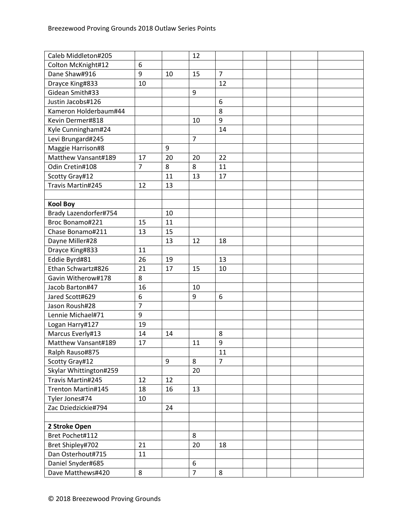| Colton McKnight#12<br>6<br>$\overline{7}$<br>Dane Shaw#916<br>9<br>10<br>15<br>12<br>Drayce King#833<br>10<br>Gidean Smith#33<br>9<br>$\boldsymbol{6}$<br>Justin Jacobs#126<br>8<br>Kameron Holderbaum#44<br>9<br>Kevin Dermer#818<br>10<br>Kyle Cunningham#24<br>14<br>$\overline{7}$<br>Levi Brungard#245<br>$9\,$<br>Maggie Harrison#8<br>Matthew Vansant#189<br>17<br>20<br>20<br>22<br>$\overline{7}$<br>8<br>8<br>11<br>Odin Cretin#108<br>17<br>11<br>13<br>Scotty Gray#12<br>Travis Martin#245<br>13<br>12<br><b>Kool Boy</b><br>Brady Lazendorfer#754<br>10<br>Broc Bonamo#221<br>11<br>15<br>Chase Bonamo#211<br>13<br>15<br>Dayne Miller#28<br>13<br>12<br>18<br>11<br>Drayce King#833<br>Eddie Byrd#81<br>26<br>19<br>13<br>Ethan Schwartz#826<br>21<br>17<br>15<br>10<br>8<br>Gavin Witherow#178<br>Jacob Barton#47<br>16<br>10<br>Jared Scott#629<br>6<br>9<br>6<br>$\overline{7}$<br>Jason Roush#28<br>9<br>Lennie Michael#71<br>19<br>Logan Harry#127<br>14<br>8<br>Marcus Everly#13<br>14<br>Matthew Vansant#189<br>9<br>17<br>11<br>Ralph Rauso#875<br>11<br>$\overline{7}$<br>9<br>8<br>Scotty Gray#12<br>Skylar Whittington#259<br>20<br>Travis Martin#245<br>12<br>12<br>Trenton Martin#145<br>18<br>16<br>13<br>Tyler Jones#74<br>10<br>Zac Dziedzickie#794<br>24 | Caleb Middleton#205 |  | 12 |  |  |  |
|-----------------------------------------------------------------------------------------------------------------------------------------------------------------------------------------------------------------------------------------------------------------------------------------------------------------------------------------------------------------------------------------------------------------------------------------------------------------------------------------------------------------------------------------------------------------------------------------------------------------------------------------------------------------------------------------------------------------------------------------------------------------------------------------------------------------------------------------------------------------------------------------------------------------------------------------------------------------------------------------------------------------------------------------------------------------------------------------------------------------------------------------------------------------------------------------------------------------------------------------------------------------------------------------|---------------------|--|----|--|--|--|
|                                                                                                                                                                                                                                                                                                                                                                                                                                                                                                                                                                                                                                                                                                                                                                                                                                                                                                                                                                                                                                                                                                                                                                                                                                                                                         |                     |  |    |  |  |  |
|                                                                                                                                                                                                                                                                                                                                                                                                                                                                                                                                                                                                                                                                                                                                                                                                                                                                                                                                                                                                                                                                                                                                                                                                                                                                                         |                     |  |    |  |  |  |
|                                                                                                                                                                                                                                                                                                                                                                                                                                                                                                                                                                                                                                                                                                                                                                                                                                                                                                                                                                                                                                                                                                                                                                                                                                                                                         |                     |  |    |  |  |  |
|                                                                                                                                                                                                                                                                                                                                                                                                                                                                                                                                                                                                                                                                                                                                                                                                                                                                                                                                                                                                                                                                                                                                                                                                                                                                                         |                     |  |    |  |  |  |
|                                                                                                                                                                                                                                                                                                                                                                                                                                                                                                                                                                                                                                                                                                                                                                                                                                                                                                                                                                                                                                                                                                                                                                                                                                                                                         |                     |  |    |  |  |  |
|                                                                                                                                                                                                                                                                                                                                                                                                                                                                                                                                                                                                                                                                                                                                                                                                                                                                                                                                                                                                                                                                                                                                                                                                                                                                                         |                     |  |    |  |  |  |
|                                                                                                                                                                                                                                                                                                                                                                                                                                                                                                                                                                                                                                                                                                                                                                                                                                                                                                                                                                                                                                                                                                                                                                                                                                                                                         |                     |  |    |  |  |  |
|                                                                                                                                                                                                                                                                                                                                                                                                                                                                                                                                                                                                                                                                                                                                                                                                                                                                                                                                                                                                                                                                                                                                                                                                                                                                                         |                     |  |    |  |  |  |
|                                                                                                                                                                                                                                                                                                                                                                                                                                                                                                                                                                                                                                                                                                                                                                                                                                                                                                                                                                                                                                                                                                                                                                                                                                                                                         |                     |  |    |  |  |  |
|                                                                                                                                                                                                                                                                                                                                                                                                                                                                                                                                                                                                                                                                                                                                                                                                                                                                                                                                                                                                                                                                                                                                                                                                                                                                                         |                     |  |    |  |  |  |
|                                                                                                                                                                                                                                                                                                                                                                                                                                                                                                                                                                                                                                                                                                                                                                                                                                                                                                                                                                                                                                                                                                                                                                                                                                                                                         |                     |  |    |  |  |  |
|                                                                                                                                                                                                                                                                                                                                                                                                                                                                                                                                                                                                                                                                                                                                                                                                                                                                                                                                                                                                                                                                                                                                                                                                                                                                                         |                     |  |    |  |  |  |
|                                                                                                                                                                                                                                                                                                                                                                                                                                                                                                                                                                                                                                                                                                                                                                                                                                                                                                                                                                                                                                                                                                                                                                                                                                                                                         |                     |  |    |  |  |  |
|                                                                                                                                                                                                                                                                                                                                                                                                                                                                                                                                                                                                                                                                                                                                                                                                                                                                                                                                                                                                                                                                                                                                                                                                                                                                                         |                     |  |    |  |  |  |
|                                                                                                                                                                                                                                                                                                                                                                                                                                                                                                                                                                                                                                                                                                                                                                                                                                                                                                                                                                                                                                                                                                                                                                                                                                                                                         |                     |  |    |  |  |  |
|                                                                                                                                                                                                                                                                                                                                                                                                                                                                                                                                                                                                                                                                                                                                                                                                                                                                                                                                                                                                                                                                                                                                                                                                                                                                                         |                     |  |    |  |  |  |
|                                                                                                                                                                                                                                                                                                                                                                                                                                                                                                                                                                                                                                                                                                                                                                                                                                                                                                                                                                                                                                                                                                                                                                                                                                                                                         |                     |  |    |  |  |  |
|                                                                                                                                                                                                                                                                                                                                                                                                                                                                                                                                                                                                                                                                                                                                                                                                                                                                                                                                                                                                                                                                                                                                                                                                                                                                                         |                     |  |    |  |  |  |
|                                                                                                                                                                                                                                                                                                                                                                                                                                                                                                                                                                                                                                                                                                                                                                                                                                                                                                                                                                                                                                                                                                                                                                                                                                                                                         |                     |  |    |  |  |  |
|                                                                                                                                                                                                                                                                                                                                                                                                                                                                                                                                                                                                                                                                                                                                                                                                                                                                                                                                                                                                                                                                                                                                                                                                                                                                                         |                     |  |    |  |  |  |
|                                                                                                                                                                                                                                                                                                                                                                                                                                                                                                                                                                                                                                                                                                                                                                                                                                                                                                                                                                                                                                                                                                                                                                                                                                                                                         |                     |  |    |  |  |  |
|                                                                                                                                                                                                                                                                                                                                                                                                                                                                                                                                                                                                                                                                                                                                                                                                                                                                                                                                                                                                                                                                                                                                                                                                                                                                                         |                     |  |    |  |  |  |
|                                                                                                                                                                                                                                                                                                                                                                                                                                                                                                                                                                                                                                                                                                                                                                                                                                                                                                                                                                                                                                                                                                                                                                                                                                                                                         |                     |  |    |  |  |  |
|                                                                                                                                                                                                                                                                                                                                                                                                                                                                                                                                                                                                                                                                                                                                                                                                                                                                                                                                                                                                                                                                                                                                                                                                                                                                                         |                     |  |    |  |  |  |
|                                                                                                                                                                                                                                                                                                                                                                                                                                                                                                                                                                                                                                                                                                                                                                                                                                                                                                                                                                                                                                                                                                                                                                                                                                                                                         |                     |  |    |  |  |  |
|                                                                                                                                                                                                                                                                                                                                                                                                                                                                                                                                                                                                                                                                                                                                                                                                                                                                                                                                                                                                                                                                                                                                                                                                                                                                                         |                     |  |    |  |  |  |
|                                                                                                                                                                                                                                                                                                                                                                                                                                                                                                                                                                                                                                                                                                                                                                                                                                                                                                                                                                                                                                                                                                                                                                                                                                                                                         |                     |  |    |  |  |  |
|                                                                                                                                                                                                                                                                                                                                                                                                                                                                                                                                                                                                                                                                                                                                                                                                                                                                                                                                                                                                                                                                                                                                                                                                                                                                                         |                     |  |    |  |  |  |
|                                                                                                                                                                                                                                                                                                                                                                                                                                                                                                                                                                                                                                                                                                                                                                                                                                                                                                                                                                                                                                                                                                                                                                                                                                                                                         |                     |  |    |  |  |  |
|                                                                                                                                                                                                                                                                                                                                                                                                                                                                                                                                                                                                                                                                                                                                                                                                                                                                                                                                                                                                                                                                                                                                                                                                                                                                                         |                     |  |    |  |  |  |
|                                                                                                                                                                                                                                                                                                                                                                                                                                                                                                                                                                                                                                                                                                                                                                                                                                                                                                                                                                                                                                                                                                                                                                                                                                                                                         |                     |  |    |  |  |  |
|                                                                                                                                                                                                                                                                                                                                                                                                                                                                                                                                                                                                                                                                                                                                                                                                                                                                                                                                                                                                                                                                                                                                                                                                                                                                                         |                     |  |    |  |  |  |
|                                                                                                                                                                                                                                                                                                                                                                                                                                                                                                                                                                                                                                                                                                                                                                                                                                                                                                                                                                                                                                                                                                                                                                                                                                                                                         |                     |  |    |  |  |  |
|                                                                                                                                                                                                                                                                                                                                                                                                                                                                                                                                                                                                                                                                                                                                                                                                                                                                                                                                                                                                                                                                                                                                                                                                                                                                                         |                     |  |    |  |  |  |
|                                                                                                                                                                                                                                                                                                                                                                                                                                                                                                                                                                                                                                                                                                                                                                                                                                                                                                                                                                                                                                                                                                                                                                                                                                                                                         |                     |  |    |  |  |  |
|                                                                                                                                                                                                                                                                                                                                                                                                                                                                                                                                                                                                                                                                                                                                                                                                                                                                                                                                                                                                                                                                                                                                                                                                                                                                                         |                     |  |    |  |  |  |
|                                                                                                                                                                                                                                                                                                                                                                                                                                                                                                                                                                                                                                                                                                                                                                                                                                                                                                                                                                                                                                                                                                                                                                                                                                                                                         |                     |  |    |  |  |  |
|                                                                                                                                                                                                                                                                                                                                                                                                                                                                                                                                                                                                                                                                                                                                                                                                                                                                                                                                                                                                                                                                                                                                                                                                                                                                                         |                     |  |    |  |  |  |
|                                                                                                                                                                                                                                                                                                                                                                                                                                                                                                                                                                                                                                                                                                                                                                                                                                                                                                                                                                                                                                                                                                                                                                                                                                                                                         |                     |  |    |  |  |  |
| 2 Stroke Open                                                                                                                                                                                                                                                                                                                                                                                                                                                                                                                                                                                                                                                                                                                                                                                                                                                                                                                                                                                                                                                                                                                                                                                                                                                                           |                     |  |    |  |  |  |
| Bret Pochet#112<br>8                                                                                                                                                                                                                                                                                                                                                                                                                                                                                                                                                                                                                                                                                                                                                                                                                                                                                                                                                                                                                                                                                                                                                                                                                                                                    |                     |  |    |  |  |  |
| Bret Shipley#702<br>21<br>20<br>18                                                                                                                                                                                                                                                                                                                                                                                                                                                                                                                                                                                                                                                                                                                                                                                                                                                                                                                                                                                                                                                                                                                                                                                                                                                      |                     |  |    |  |  |  |
| Dan Osterhout#715<br>11                                                                                                                                                                                                                                                                                                                                                                                                                                                                                                                                                                                                                                                                                                                                                                                                                                                                                                                                                                                                                                                                                                                                                                                                                                                                 |                     |  |    |  |  |  |
| Daniel Snyder#685<br>6                                                                                                                                                                                                                                                                                                                                                                                                                                                                                                                                                                                                                                                                                                                                                                                                                                                                                                                                                                                                                                                                                                                                                                                                                                                                  |                     |  |    |  |  |  |
| $\overline{7}$<br>Dave Matthews#420<br>8<br>8                                                                                                                                                                                                                                                                                                                                                                                                                                                                                                                                                                                                                                                                                                                                                                                                                                                                                                                                                                                                                                                                                                                                                                                                                                           |                     |  |    |  |  |  |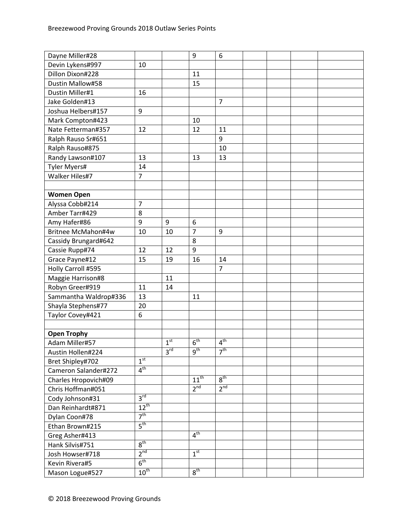| Dayne Miller#28       |                  |                 | 9               | 6                   |  |  |
|-----------------------|------------------|-----------------|-----------------|---------------------|--|--|
| Devin Lykens#997      | 10               |                 |                 |                     |  |  |
| Dillon Dixon#228      |                  |                 | 11              |                     |  |  |
| Dustin Mallow#58      |                  |                 | 15              |                     |  |  |
| Dustin Miller#1       | 16               |                 |                 |                     |  |  |
| Jake Golden#13        |                  |                 |                 | $\overline{7}$      |  |  |
| Joshua Helbers#157    | 9                |                 |                 |                     |  |  |
| Mark Compton#423      |                  |                 | 10              |                     |  |  |
| Nate Fetterman#357    | 12               |                 | 12              | 11                  |  |  |
| Ralph Rauso Sr#651    |                  |                 |                 | 9                   |  |  |
| Ralph Rauso#875       |                  |                 |                 | 10                  |  |  |
| Randy Lawson#107      | 13               |                 | 13              | 13                  |  |  |
| <b>Tyler Myers#</b>   | 14               |                 |                 |                     |  |  |
| Walker Hiles#7        | $\overline{7}$   |                 |                 |                     |  |  |
|                       |                  |                 |                 |                     |  |  |
| <b>Women Open</b>     |                  |                 |                 |                     |  |  |
| Alyssa Cobb#214       | $\overline{7}$   |                 |                 |                     |  |  |
| Amber Tarr#429        | 8                |                 |                 |                     |  |  |
| Amy Hafer#86          | 9                | 9               | 6               |                     |  |  |
| Britnee McMahon#4w    | 10               | 10              | $\overline{7}$  | 9                   |  |  |
| Cassidy Brungard#642  |                  |                 | 8               |                     |  |  |
| Cassie Rupp#74        | 12               | 12              | 9               |                     |  |  |
| Grace Payne#12        | 15               | 19              | 16              | 14                  |  |  |
| Holly Carroll #595    |                  |                 |                 | 7                   |  |  |
| Maggie Harrison#8     |                  | 11              |                 |                     |  |  |
| Robyn Greer#919       | 11               | 14              |                 |                     |  |  |
| Sammantha Waldrop#336 | 13               |                 | 11              |                     |  |  |
| Shayla Stephens#77    | 20               |                 |                 |                     |  |  |
| Taylor Covey#421      | $\boldsymbol{6}$ |                 |                 |                     |  |  |
|                       |                  |                 |                 |                     |  |  |
| <b>Open Trophy</b>    |                  |                 |                 |                     |  |  |
| Adam Miller#57        |                  | 1 <sup>st</sup> | 6 <sup>th</sup> | 4 <sup>th</sup>     |  |  |
| Austin Hollen#224     |                  | $3^{\text{rd}}$ | $9^{\text{tn}}$ | $7^{\overline{th}}$ |  |  |
| Bret Shipley#702      | 1 <sup>st</sup>  |                 |                 |                     |  |  |
| Cameron Salander#272  | 4 <sup>th</sup>  |                 |                 |                     |  |  |
| Charles Hropovich#09  |                  |                 | $11^{th}$       | 8 <sup>th</sup>     |  |  |
| Chris Hoffman#051     |                  |                 | 2 <sup>nd</sup> | 2 <sup>nd</sup>     |  |  |
| Cody Johnson#31       | 3 <sup>rd</sup>  |                 |                 |                     |  |  |
| Dan Reinhardt#871     | $12^{th}$        |                 |                 |                     |  |  |
| Dylan Coon#78         | 7 <sup>th</sup>  |                 |                 |                     |  |  |
| Ethan Brown#215       | 5 <sup>th</sup>  |                 |                 |                     |  |  |
| Greg Asher#413        |                  |                 | 4 <sup>th</sup> |                     |  |  |
| Hank Silvis#751       | 8 <sup>th</sup>  |                 |                 |                     |  |  |
| Josh Howser#718       | $2^{nd}$         |                 | 1 <sup>st</sup> |                     |  |  |
| Kevin Rivera#5        | $6^{\text{th}}$  |                 |                 |                     |  |  |
| Mason Logue#527       | $10^{\text{th}}$ |                 | $8^{\text{th}}$ |                     |  |  |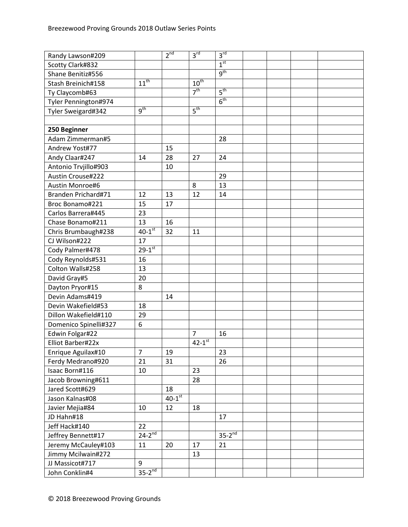| Randy Lawson#209         |                      | 2 <sup>nd</sup>      | 3 <sup>rd</sup>  | 3 <sup>rd</sup>      |  |  |
|--------------------------|----------------------|----------------------|------------------|----------------------|--|--|
| Scotty Clark#832         |                      |                      |                  | 1 <sup>st</sup>      |  |  |
| Shane Benitiz#556        |                      |                      |                  | $q^{th}$             |  |  |
| Stash Breinich#158       | $11^{th}$            |                      | $10^{\text{th}}$ |                      |  |  |
| Ty Claycomb#63           |                      |                      | 7 <sup>th</sup>  | 5 <sup>th</sup>      |  |  |
| Tyler Pennington#974     |                      |                      |                  | 6 <sup>th</sup>      |  |  |
| Tyler Sweigard#342       | $\overline{g^{th}}$  |                      | 5 <sup>th</sup>  |                      |  |  |
|                          |                      |                      |                  |                      |  |  |
| 250 Beginner             |                      |                      |                  |                      |  |  |
| Adam Zimmerman#5         |                      |                      |                  | 28                   |  |  |
| Andrew Yost#77           |                      | 15                   |                  |                      |  |  |
| Andy Claar#247           | 14                   | 28                   | 27               | 24                   |  |  |
| Antonio Trvjillo#903     |                      | 10                   |                  |                      |  |  |
| <b>Austin Crouse#222</b> |                      |                      |                  | 29                   |  |  |
| Austin Monroe#6          |                      |                      | 8                | 13                   |  |  |
| Branden Prichard#71      | 12                   | 13                   | 12               | 14                   |  |  |
| Broc Bonamo#221          | 15                   | 17                   |                  |                      |  |  |
| Carlos Barrera#445       | 23                   |                      |                  |                      |  |  |
| Chase Bonamo#211         | 13                   | 16                   |                  |                      |  |  |
| Chris Brumbaugh#238      | $40-1$ <sup>st</sup> | 32                   | 11               |                      |  |  |
| CJ Wilson#222            | 17                   |                      |                  |                      |  |  |
| Cody Palmer#478          | $29 - 1^{st}$        |                      |                  |                      |  |  |
| Cody Reynolds#531        | 16                   |                      |                  |                      |  |  |
| Colton Walls#258         | 13                   |                      |                  |                      |  |  |
| David Gray#5             | 20                   |                      |                  |                      |  |  |
| Dayton Pryor#15          | 8                    |                      |                  |                      |  |  |
| Devin Adams#419          |                      | 14                   |                  |                      |  |  |
| Devin Wakefield#53       | 18                   |                      |                  |                      |  |  |
| Dillon Wakefield#110     | 29                   |                      |                  |                      |  |  |
| Domenico Spinelli#327    | 6                    |                      |                  |                      |  |  |
| Edwin Folgar#22          |                      |                      | $\overline{7}$   | 16                   |  |  |
| Elliot Barber#22x        |                      |                      | $42 - 1^{st}$    |                      |  |  |
| Enrique Aguilax#10       | $\overline{7}$       | 19                   |                  | 23                   |  |  |
| Ferdy Medrano#920        | 21                   | 31                   |                  | 26                   |  |  |
| Isaac Born#116           | 10                   |                      | 23               |                      |  |  |
| Jacob Browning#611       |                      |                      | 28               |                      |  |  |
| Jared Scott#629          |                      | 18                   |                  |                      |  |  |
| Jason Kalnas#08          |                      | $40-1$ <sup>st</sup> |                  |                      |  |  |
| Javier Mejia#84          | 10                   | 12                   | 18               |                      |  |  |
| JD Hahn#18               |                      |                      |                  | 17                   |  |  |
| Jeff Hack#140            | 22                   |                      |                  |                      |  |  |
| Jeffrey Bennett#17       | $24-2^{nd}$          |                      |                  | $35-2$ <sup>nd</sup> |  |  |
| Jeremy McCauley#103      | 11                   | 20                   | 17               | 21                   |  |  |
| Jimmy Mcilwain#272       |                      |                      | 13               |                      |  |  |
| JJ Massicot#717          | 9                    |                      |                  |                      |  |  |
| John Conklin#4           | $35-2^{nd}$          |                      |                  |                      |  |  |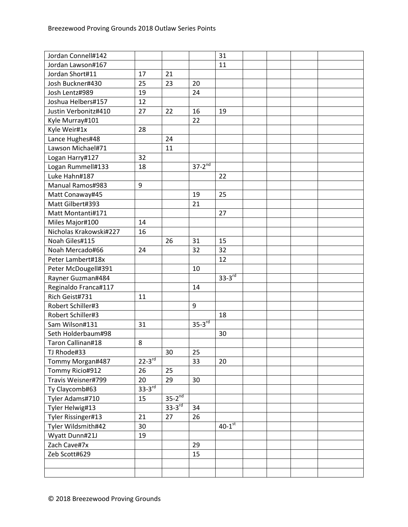| Jordan Connell#142     |             |                      |             | 31                   |  |  |
|------------------------|-------------|----------------------|-------------|----------------------|--|--|
| Jordan Lawson#167      |             |                      |             | 11                   |  |  |
| Jordan Short#11        | 17          | 21                   |             |                      |  |  |
| Josh Buckner#430       | 25          | 23                   | 20          |                      |  |  |
| Josh Lentz#989         | 19          |                      | 24          |                      |  |  |
| Joshua Helbers#157     | 12          |                      |             |                      |  |  |
| Justin Verbonitz#410   | 27          | 22                   | 16          | 19                   |  |  |
| Kyle Murray#101        |             |                      | 22          |                      |  |  |
| Kyle Weir#1x           | 28          |                      |             |                      |  |  |
| Lance Hughes#48        |             | 24                   |             |                      |  |  |
| Lawson Michael#71      |             | 11                   |             |                      |  |  |
| Logan Harry#127        | 32          |                      |             |                      |  |  |
| Logan Rummell#133      | 18          |                      | $37-2^{nd}$ |                      |  |  |
| Luke Hahn#187          |             |                      |             | 22                   |  |  |
| Manual Ramos#983       | 9           |                      |             |                      |  |  |
| Matt Conaway#45        |             |                      | 19          | 25                   |  |  |
| Matt Gilbert#393       |             |                      | 21          |                      |  |  |
| Matt Montanti#171      |             |                      |             | 27                   |  |  |
| Miles Major#100        | 14          |                      |             |                      |  |  |
| Nicholas Krakowski#227 | 16          |                      |             |                      |  |  |
| Noah Giles#115         |             | 26                   | 31          | 15                   |  |  |
| Noah Mercado#66        | 24          |                      | 32          | 32                   |  |  |
| Peter Lambert#18x      |             |                      |             | 12                   |  |  |
| Peter McDougell#391    |             |                      | 10          |                      |  |  |
| Rayner Guzman#484      |             |                      |             | $33 - 3^{rd}$        |  |  |
| Reginaldo Franca#117   |             |                      | 14          |                      |  |  |
| Rich Geist#731         | 11          |                      |             |                      |  |  |
| Robert Schiller#3      |             |                      | 9           |                      |  |  |
| Robert Schiller#3      |             |                      |             | 18                   |  |  |
| Sam Wilson#131         | 31          |                      | $35-3^{rd}$ |                      |  |  |
| Seth Holderbaum#98     |             |                      |             | 30                   |  |  |
| Taron Callinan#18      | 8           |                      |             |                      |  |  |
| TJ Rhode#33            |             | 30                   | 25          |                      |  |  |
| Tommy Morgan#487       | $22-3^{rd}$ |                      | 33          | 20                   |  |  |
| Tommy Ricio#912        | 26          | 25                   |             |                      |  |  |
| Travis Weisner#799     | 20          | 29                   | 30          |                      |  |  |
| Ty Claycomb#63         | $33-3rd$    |                      |             |                      |  |  |
| Tyler Adams#710        | 15          | $35-2$ <sup>nd</sup> |             |                      |  |  |
| Tyler Helwig#13        |             | $33 - 3^{rd}$        | 34          |                      |  |  |
| Tyler Rissinger#13     | 21          | 27                   | 26          |                      |  |  |
| Tyler Wildsmith#42     | 30          |                      |             | $40-1$ <sup>st</sup> |  |  |
| Wyatt Dunn#21J         | 19          |                      |             |                      |  |  |
| Zach Cave#7x           |             |                      | 29          |                      |  |  |
| Zeb Scott#629          |             |                      | 15          |                      |  |  |
|                        |             |                      |             |                      |  |  |
|                        |             |                      |             |                      |  |  |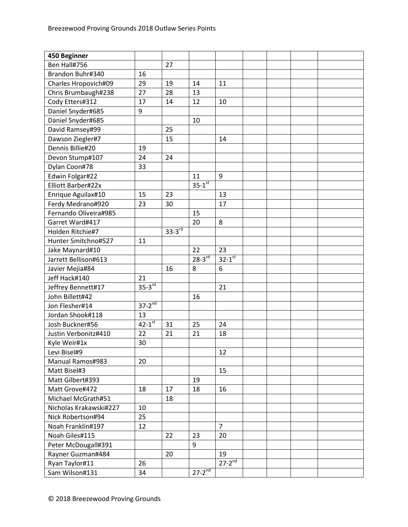| Ben Hall#756<br>27<br>16<br>Brandon Buhr#340<br>29<br>19<br>11<br>Charles Hropovich#09<br>14<br>Chris Brumbaugh#238<br>27<br>28<br>13<br>Cody Etters#312<br>17<br>14<br>12<br>10<br>Daniel Snyder#685<br>9<br>Daniel Snyder#685<br>10<br>David Ramsey#99<br>25<br>Dawson Ziegler#7<br>15<br>14<br>Dennis Billie#20<br>19<br>24<br>Devon Stump#107<br>24<br>Dylan Coon#78<br>33<br>Edwin Folgar#22<br>11<br>9<br>$35 - 1^{st}$<br>Elliott Barber#22x<br>Enrique Aguilax#10<br>15<br>23<br>13<br>Ferdy Medrano#920<br>17<br>23<br>30<br>Fernando Oliveira#985<br>15<br>8<br>Garret Ward#417<br>20<br>$33 - 3^{rd}$<br>Holden Ritchie#7<br>Hunter Smitchno#527<br>11<br>22<br>23<br>Jake Maynard#10<br>$28 - 3^{rd}$<br>$32 - 1$ st<br>Jarrett Bellison#613<br>16<br>6<br>Javier Mejia#84<br>8<br>Jeff Hack#140<br>21<br>$35-3^{rd}$<br>21<br>Jeffrey Bennett#17<br>John Billett#42<br>16<br>$37-2^{nd}$<br>Jon Flesher#14<br>Jordan Shook#118<br>13<br>$42 - 1^{st}$<br>Josh Buckner#56<br>25<br>31<br>24<br>22<br>21<br>21<br>Justin Verbonitz#410<br>18<br>Kyle Weir#1x<br>30<br>Levi Bisel#9<br>12<br>Manual Ramos#983<br>20<br>Matt Bisel#3<br>15<br>Matt Gilbert#393<br>19<br>17<br>Matt Grove#472<br>18<br>18<br>16<br>Michael McGrath#51<br>18<br>Nicholas Krakawski#227<br>10<br>25<br>Nick Robertson#94<br>$\overline{7}$<br>Noah Franklin#197<br>12<br>Noah Giles#115<br>22<br>23<br>20<br>Peter McDougall#391<br>9<br>Rayner Guzman#484<br>20<br>19<br>$27 - 2^{nd}$<br>Ryan Taylor#11<br>26 | 450 Beginner   |    |               |  |  |  |
|-------------------------------------------------------------------------------------------------------------------------------------------------------------------------------------------------------------------------------------------------------------------------------------------------------------------------------------------------------------------------------------------------------------------------------------------------------------------------------------------------------------------------------------------------------------------------------------------------------------------------------------------------------------------------------------------------------------------------------------------------------------------------------------------------------------------------------------------------------------------------------------------------------------------------------------------------------------------------------------------------------------------------------------------------------------------------------------------------------------------------------------------------------------------------------------------------------------------------------------------------------------------------------------------------------------------------------------------------------------------------------------------------------------------------------------------------------------------------------------------------------|----------------|----|---------------|--|--|--|
|                                                                                                                                                                                                                                                                                                                                                                                                                                                                                                                                                                                                                                                                                                                                                                                                                                                                                                                                                                                                                                                                                                                                                                                                                                                                                                                                                                                                                                                                                                       |                |    |               |  |  |  |
|                                                                                                                                                                                                                                                                                                                                                                                                                                                                                                                                                                                                                                                                                                                                                                                                                                                                                                                                                                                                                                                                                                                                                                                                                                                                                                                                                                                                                                                                                                       |                |    |               |  |  |  |
|                                                                                                                                                                                                                                                                                                                                                                                                                                                                                                                                                                                                                                                                                                                                                                                                                                                                                                                                                                                                                                                                                                                                                                                                                                                                                                                                                                                                                                                                                                       |                |    |               |  |  |  |
|                                                                                                                                                                                                                                                                                                                                                                                                                                                                                                                                                                                                                                                                                                                                                                                                                                                                                                                                                                                                                                                                                                                                                                                                                                                                                                                                                                                                                                                                                                       |                |    |               |  |  |  |
|                                                                                                                                                                                                                                                                                                                                                                                                                                                                                                                                                                                                                                                                                                                                                                                                                                                                                                                                                                                                                                                                                                                                                                                                                                                                                                                                                                                                                                                                                                       |                |    |               |  |  |  |
|                                                                                                                                                                                                                                                                                                                                                                                                                                                                                                                                                                                                                                                                                                                                                                                                                                                                                                                                                                                                                                                                                                                                                                                                                                                                                                                                                                                                                                                                                                       |                |    |               |  |  |  |
|                                                                                                                                                                                                                                                                                                                                                                                                                                                                                                                                                                                                                                                                                                                                                                                                                                                                                                                                                                                                                                                                                                                                                                                                                                                                                                                                                                                                                                                                                                       |                |    |               |  |  |  |
|                                                                                                                                                                                                                                                                                                                                                                                                                                                                                                                                                                                                                                                                                                                                                                                                                                                                                                                                                                                                                                                                                                                                                                                                                                                                                                                                                                                                                                                                                                       |                |    |               |  |  |  |
|                                                                                                                                                                                                                                                                                                                                                                                                                                                                                                                                                                                                                                                                                                                                                                                                                                                                                                                                                                                                                                                                                                                                                                                                                                                                                                                                                                                                                                                                                                       |                |    |               |  |  |  |
|                                                                                                                                                                                                                                                                                                                                                                                                                                                                                                                                                                                                                                                                                                                                                                                                                                                                                                                                                                                                                                                                                                                                                                                                                                                                                                                                                                                                                                                                                                       |                |    |               |  |  |  |
|                                                                                                                                                                                                                                                                                                                                                                                                                                                                                                                                                                                                                                                                                                                                                                                                                                                                                                                                                                                                                                                                                                                                                                                                                                                                                                                                                                                                                                                                                                       |                |    |               |  |  |  |
|                                                                                                                                                                                                                                                                                                                                                                                                                                                                                                                                                                                                                                                                                                                                                                                                                                                                                                                                                                                                                                                                                                                                                                                                                                                                                                                                                                                                                                                                                                       |                |    |               |  |  |  |
|                                                                                                                                                                                                                                                                                                                                                                                                                                                                                                                                                                                                                                                                                                                                                                                                                                                                                                                                                                                                                                                                                                                                                                                                                                                                                                                                                                                                                                                                                                       |                |    |               |  |  |  |
|                                                                                                                                                                                                                                                                                                                                                                                                                                                                                                                                                                                                                                                                                                                                                                                                                                                                                                                                                                                                                                                                                                                                                                                                                                                                                                                                                                                                                                                                                                       |                |    |               |  |  |  |
|                                                                                                                                                                                                                                                                                                                                                                                                                                                                                                                                                                                                                                                                                                                                                                                                                                                                                                                                                                                                                                                                                                                                                                                                                                                                                                                                                                                                                                                                                                       |                |    |               |  |  |  |
|                                                                                                                                                                                                                                                                                                                                                                                                                                                                                                                                                                                                                                                                                                                                                                                                                                                                                                                                                                                                                                                                                                                                                                                                                                                                                                                                                                                                                                                                                                       |                |    |               |  |  |  |
|                                                                                                                                                                                                                                                                                                                                                                                                                                                                                                                                                                                                                                                                                                                                                                                                                                                                                                                                                                                                                                                                                                                                                                                                                                                                                                                                                                                                                                                                                                       |                |    |               |  |  |  |
|                                                                                                                                                                                                                                                                                                                                                                                                                                                                                                                                                                                                                                                                                                                                                                                                                                                                                                                                                                                                                                                                                                                                                                                                                                                                                                                                                                                                                                                                                                       |                |    |               |  |  |  |
|                                                                                                                                                                                                                                                                                                                                                                                                                                                                                                                                                                                                                                                                                                                                                                                                                                                                                                                                                                                                                                                                                                                                                                                                                                                                                                                                                                                                                                                                                                       |                |    |               |  |  |  |
|                                                                                                                                                                                                                                                                                                                                                                                                                                                                                                                                                                                                                                                                                                                                                                                                                                                                                                                                                                                                                                                                                                                                                                                                                                                                                                                                                                                                                                                                                                       |                |    |               |  |  |  |
|                                                                                                                                                                                                                                                                                                                                                                                                                                                                                                                                                                                                                                                                                                                                                                                                                                                                                                                                                                                                                                                                                                                                                                                                                                                                                                                                                                                                                                                                                                       |                |    |               |  |  |  |
|                                                                                                                                                                                                                                                                                                                                                                                                                                                                                                                                                                                                                                                                                                                                                                                                                                                                                                                                                                                                                                                                                                                                                                                                                                                                                                                                                                                                                                                                                                       |                |    |               |  |  |  |
|                                                                                                                                                                                                                                                                                                                                                                                                                                                                                                                                                                                                                                                                                                                                                                                                                                                                                                                                                                                                                                                                                                                                                                                                                                                                                                                                                                                                                                                                                                       |                |    |               |  |  |  |
|                                                                                                                                                                                                                                                                                                                                                                                                                                                                                                                                                                                                                                                                                                                                                                                                                                                                                                                                                                                                                                                                                                                                                                                                                                                                                                                                                                                                                                                                                                       |                |    |               |  |  |  |
|                                                                                                                                                                                                                                                                                                                                                                                                                                                                                                                                                                                                                                                                                                                                                                                                                                                                                                                                                                                                                                                                                                                                                                                                                                                                                                                                                                                                                                                                                                       |                |    |               |  |  |  |
|                                                                                                                                                                                                                                                                                                                                                                                                                                                                                                                                                                                                                                                                                                                                                                                                                                                                                                                                                                                                                                                                                                                                                                                                                                                                                                                                                                                                                                                                                                       |                |    |               |  |  |  |
|                                                                                                                                                                                                                                                                                                                                                                                                                                                                                                                                                                                                                                                                                                                                                                                                                                                                                                                                                                                                                                                                                                                                                                                                                                                                                                                                                                                                                                                                                                       |                |    |               |  |  |  |
|                                                                                                                                                                                                                                                                                                                                                                                                                                                                                                                                                                                                                                                                                                                                                                                                                                                                                                                                                                                                                                                                                                                                                                                                                                                                                                                                                                                                                                                                                                       |                |    |               |  |  |  |
|                                                                                                                                                                                                                                                                                                                                                                                                                                                                                                                                                                                                                                                                                                                                                                                                                                                                                                                                                                                                                                                                                                                                                                                                                                                                                                                                                                                                                                                                                                       |                |    |               |  |  |  |
|                                                                                                                                                                                                                                                                                                                                                                                                                                                                                                                                                                                                                                                                                                                                                                                                                                                                                                                                                                                                                                                                                                                                                                                                                                                                                                                                                                                                                                                                                                       |                |    |               |  |  |  |
|                                                                                                                                                                                                                                                                                                                                                                                                                                                                                                                                                                                                                                                                                                                                                                                                                                                                                                                                                                                                                                                                                                                                                                                                                                                                                                                                                                                                                                                                                                       |                |    |               |  |  |  |
|                                                                                                                                                                                                                                                                                                                                                                                                                                                                                                                                                                                                                                                                                                                                                                                                                                                                                                                                                                                                                                                                                                                                                                                                                                                                                                                                                                                                                                                                                                       |                |    |               |  |  |  |
|                                                                                                                                                                                                                                                                                                                                                                                                                                                                                                                                                                                                                                                                                                                                                                                                                                                                                                                                                                                                                                                                                                                                                                                                                                                                                                                                                                                                                                                                                                       |                |    |               |  |  |  |
|                                                                                                                                                                                                                                                                                                                                                                                                                                                                                                                                                                                                                                                                                                                                                                                                                                                                                                                                                                                                                                                                                                                                                                                                                                                                                                                                                                                                                                                                                                       |                |    |               |  |  |  |
|                                                                                                                                                                                                                                                                                                                                                                                                                                                                                                                                                                                                                                                                                                                                                                                                                                                                                                                                                                                                                                                                                                                                                                                                                                                                                                                                                                                                                                                                                                       |                |    |               |  |  |  |
|                                                                                                                                                                                                                                                                                                                                                                                                                                                                                                                                                                                                                                                                                                                                                                                                                                                                                                                                                                                                                                                                                                                                                                                                                                                                                                                                                                                                                                                                                                       |                |    |               |  |  |  |
|                                                                                                                                                                                                                                                                                                                                                                                                                                                                                                                                                                                                                                                                                                                                                                                                                                                                                                                                                                                                                                                                                                                                                                                                                                                                                                                                                                                                                                                                                                       |                |    |               |  |  |  |
|                                                                                                                                                                                                                                                                                                                                                                                                                                                                                                                                                                                                                                                                                                                                                                                                                                                                                                                                                                                                                                                                                                                                                                                                                                                                                                                                                                                                                                                                                                       |                |    |               |  |  |  |
|                                                                                                                                                                                                                                                                                                                                                                                                                                                                                                                                                                                                                                                                                                                                                                                                                                                                                                                                                                                                                                                                                                                                                                                                                                                                                                                                                                                                                                                                                                       |                |    |               |  |  |  |
|                                                                                                                                                                                                                                                                                                                                                                                                                                                                                                                                                                                                                                                                                                                                                                                                                                                                                                                                                                                                                                                                                                                                                                                                                                                                                                                                                                                                                                                                                                       |                |    |               |  |  |  |
|                                                                                                                                                                                                                                                                                                                                                                                                                                                                                                                                                                                                                                                                                                                                                                                                                                                                                                                                                                                                                                                                                                                                                                                                                                                                                                                                                                                                                                                                                                       |                |    |               |  |  |  |
|                                                                                                                                                                                                                                                                                                                                                                                                                                                                                                                                                                                                                                                                                                                                                                                                                                                                                                                                                                                                                                                                                                                                                                                                                                                                                                                                                                                                                                                                                                       |                |    |               |  |  |  |
|                                                                                                                                                                                                                                                                                                                                                                                                                                                                                                                                                                                                                                                                                                                                                                                                                                                                                                                                                                                                                                                                                                                                                                                                                                                                                                                                                                                                                                                                                                       |                |    |               |  |  |  |
|                                                                                                                                                                                                                                                                                                                                                                                                                                                                                                                                                                                                                                                                                                                                                                                                                                                                                                                                                                                                                                                                                                                                                                                                                                                                                                                                                                                                                                                                                                       |                |    |               |  |  |  |
|                                                                                                                                                                                                                                                                                                                                                                                                                                                                                                                                                                                                                                                                                                                                                                                                                                                                                                                                                                                                                                                                                                                                                                                                                                                                                                                                                                                                                                                                                                       | Sam Wilson#131 | 34 | $27 - 2^{nd}$ |  |  |  |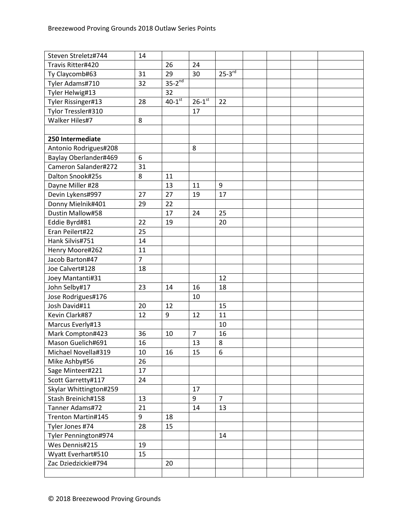| Steven Streletz#744    | 14             |                      |                |                |  |  |
|------------------------|----------------|----------------------|----------------|----------------|--|--|
| Travis Ritter#420      |                | 26                   | 24             |                |  |  |
| Ty Claycomb#63         | 31             | 29                   | 30             | $25-3^{rd}$    |  |  |
| Tyler Adams#710        | 32             | $35-2^{nd}$          |                |                |  |  |
| Tyler Helwig#13        |                | 32                   |                |                |  |  |
| Tyler Rissinger#13     | 28             | $40-1$ <sup>st</sup> | $26 - 1^{st}$  | 22             |  |  |
| Tylor Tressler#310     |                |                      | 17             |                |  |  |
| Walker Hiles#7         | 8              |                      |                |                |  |  |
|                        |                |                      |                |                |  |  |
| 250 Intermediate       |                |                      |                |                |  |  |
| Antonio Rodrigues#208  |                |                      | 8              |                |  |  |
| Baylay Oberlander#469  | 6              |                      |                |                |  |  |
| Cameron Salander#272   | 31             |                      |                |                |  |  |
| Dalton Snook#25s       | 8              | 11                   |                |                |  |  |
| Dayne Miller #28       |                | 13                   | 11             | 9              |  |  |
| Devin Lykens#997       | 27             | 27                   | 19             | 17             |  |  |
| Donny Mielnik#401      | 29             | 22                   |                |                |  |  |
| Dustin Mallow#58       |                | 17                   | 24             | 25             |  |  |
| Eddie Byrd#81          | 22             | 19                   |                | 20             |  |  |
| Eran Peilert#22        | 25             |                      |                |                |  |  |
| Hank Silvis#751        | 14             |                      |                |                |  |  |
| Henry Moore#262        | 11             |                      |                |                |  |  |
| Jacob Barton#47        | $\overline{7}$ |                      |                |                |  |  |
| Joe Calvert#128        | 18             |                      |                |                |  |  |
| Joey Mantanti#31       |                |                      |                | 12             |  |  |
| John Selby#17          | 23             | 14                   | 16             | 18             |  |  |
| Jose Rodrigues#176     |                |                      | 10             |                |  |  |
| Josh David#11          | 20             | 12                   |                | 15             |  |  |
| Kevin Clark#87         | 12             | 9                    | 12             | 11             |  |  |
| Marcus Everly#13       |                |                      |                | 10             |  |  |
| Mark Compton#423       | 36             | 10                   | $\overline{7}$ | 16             |  |  |
| Mason Guelich#691      | 16             |                      | 13             | 8              |  |  |
| Michael Novella#319    | 10             | 16                   | 15             | 6              |  |  |
| Mike Ashby#56          | 26             |                      |                |                |  |  |
| Sage Minteer#221       | 17             |                      |                |                |  |  |
| Scott Garretty#117     | 24             |                      |                |                |  |  |
| Skylar Whittington#259 |                |                      | 17             |                |  |  |
| Stash Breinich#158     | 13             |                      | 9              | $\overline{7}$ |  |  |
| Tanner Adams#72        | 21             |                      | 14             | 13             |  |  |
| Trenton Martin#145     | 9              | 18                   |                |                |  |  |
| Tyler Jones #74        | 28             | 15                   |                |                |  |  |
| Tyler Pennington#974   |                |                      |                | 14             |  |  |
| Wes Dennis#215         | 19             |                      |                |                |  |  |
| Wyatt Everhart#510     | 15             |                      |                |                |  |  |
| Zac Dziedzickie#794    |                | 20                   |                |                |  |  |
|                        |                |                      |                |                |  |  |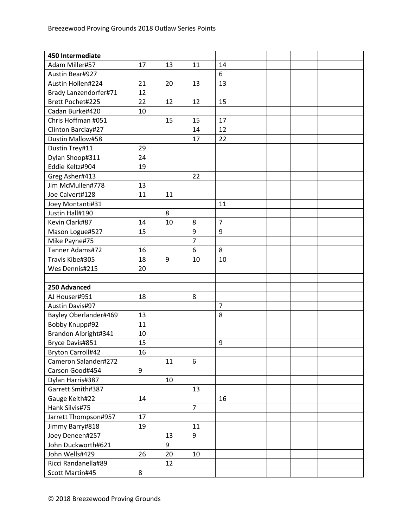| 450 Intermediate         |    |    |                |                |  |  |
|--------------------------|----|----|----------------|----------------|--|--|
| Adam Miller#57           | 17 | 13 | 11             | 14             |  |  |
| Austin Bear#927          |    |    |                | 6              |  |  |
| Austin Hollen#224        | 21 | 20 | 13             | 13             |  |  |
| Brady Lanzendorfer#71    | 12 |    |                |                |  |  |
| Brett Pochet#225         | 22 | 12 | 12             | 15             |  |  |
| Cadan Burke#420          | 10 |    |                |                |  |  |
| Chris Hoffman #051       |    | 15 | 15             | 17             |  |  |
| Clinton Barclay#27       |    |    | 14             | 12             |  |  |
| Dustin Mallow#58         |    |    | 17             | 22             |  |  |
| Dustin Trey#11           | 29 |    |                |                |  |  |
| Dylan Shoop#311          | 24 |    |                |                |  |  |
| Eddie Keltz#904          | 19 |    |                |                |  |  |
| Greg Asher#413           |    |    | 22             |                |  |  |
| Jim McMullen#778         | 13 |    |                |                |  |  |
| Joe Calvert#128          | 11 | 11 |                |                |  |  |
| Joey Montanti#31         |    |    |                | 11             |  |  |
| Justin Hall#190          |    | 8  |                |                |  |  |
| Kevin Clark#87           | 14 | 10 | 8              | $\overline{7}$ |  |  |
| Mason Logue#527          | 15 |    | 9              | 9              |  |  |
| Mike Payne#75            |    |    | $\overline{7}$ |                |  |  |
| Tanner Adams#72          | 16 |    | 6              | 8              |  |  |
| Travis Kibe#305          | 18 | 9  | 10             | 10             |  |  |
| Wes Dennis#215           | 20 |    |                |                |  |  |
|                          |    |    |                |                |  |  |
| 250 Advanced             |    |    |                |                |  |  |
| AJ Houser#951            | 18 |    | 8              |                |  |  |
| <b>Austin Davis#97</b>   |    |    |                | $\overline{7}$ |  |  |
| Bayley Oberlander#469    | 13 |    |                | 8              |  |  |
| Bobby Knupp#92           | 11 |    |                |                |  |  |
| Brandon Albright#341     | 10 |    |                |                |  |  |
| Bryce Davis#851          | 15 |    |                | 9              |  |  |
| <b>Bryton Carroll#42</b> | 16 |    |                |                |  |  |
| Cameron Salander#272     |    | 11 | 6              |                |  |  |
| Carson Good#454          | 9  |    |                |                |  |  |
| Dylan Harris#387         |    | 10 |                |                |  |  |
| Garrett Smith#387        |    |    | 13             |                |  |  |
| Gauge Keith#22           | 14 |    |                | 16             |  |  |
| Hank Silvis#75           |    |    | $\overline{7}$ |                |  |  |
| Jarrett Thompson#957     | 17 |    |                |                |  |  |
| Jimmy Barry#818          | 19 |    | 11             |                |  |  |
| Joey Deneen#257          |    | 13 | 9              |                |  |  |
| John Duckworth#621       |    | 9  |                |                |  |  |
| John Wells#429           | 26 | 20 | 10             |                |  |  |
| Ricci Randanella#89      |    | 12 |                |                |  |  |
| Scott Martin#45          | 8  |    |                |                |  |  |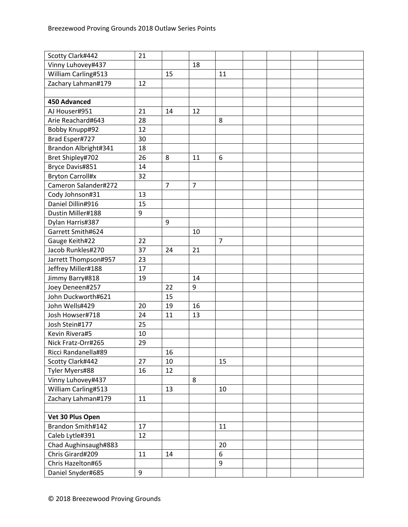| Scotty Clark#442        | 21 |                |                |                |  |  |
|-------------------------|----|----------------|----------------|----------------|--|--|
| Vinny Luhovey#437       |    |                | 18             |                |  |  |
| William Carling#513     |    | 15             |                | 11             |  |  |
| Zachary Lahman#179      | 12 |                |                |                |  |  |
|                         |    |                |                |                |  |  |
| <b>450 Advanced</b>     |    |                |                |                |  |  |
| AJ Houser#951           | 21 | 14             | 12             |                |  |  |
| Arie Reachard#643       | 28 |                |                | 8              |  |  |
| Bobby Knupp#92          | 12 |                |                |                |  |  |
| Brad Esper#727          | 30 |                |                |                |  |  |
| Brandon Albright#341    | 18 |                |                |                |  |  |
| Bret Shipley#702        | 26 | 8              | 11             | 6              |  |  |
| Bryce Davis#851         | 14 |                |                |                |  |  |
| <b>Bryton Carroll#x</b> | 32 |                |                |                |  |  |
| Cameron Salander#272    |    | $\overline{7}$ | $\overline{7}$ |                |  |  |
| Cody Johnson#31         | 13 |                |                |                |  |  |
| Daniel Dillin#916       | 15 |                |                |                |  |  |
| Dustin Miller#188       | 9  |                |                |                |  |  |
| Dylan Harris#387        |    | 9              |                |                |  |  |
| Garrett Smith#624       |    |                | 10             |                |  |  |
| Gauge Keith#22          | 22 |                |                | $\overline{7}$ |  |  |
| Jacob Runkles#270       | 37 | 24             | 21             |                |  |  |
| Jarrett Thompson#957    | 23 |                |                |                |  |  |
| Jeffrey Miller#188      | 17 |                |                |                |  |  |
| Jimmy Barry#818         | 19 |                | 14             |                |  |  |
| Joey Deneen#257         |    | 22             | 9              |                |  |  |
| John Duckworth#621      |    | 15             |                |                |  |  |
| John Wells#429          | 20 | 19             | 16             |                |  |  |
| Josh Howser#718         | 24 | 11             | 13             |                |  |  |
| Josh Stein#177          | 25 |                |                |                |  |  |
| Kevin Rivera#5          | 10 |                |                |                |  |  |
| Nick Fratz-Orr#265      | 29 |                |                |                |  |  |
| Ricci Randanella#89     |    | 16             |                |                |  |  |
| Scotty Clark#442        | 27 | 10             |                | 15             |  |  |
| Tyler Myers#88          | 16 | 12             |                |                |  |  |
| Vinny Luhovey#437       |    |                | 8              |                |  |  |
| William Carling#513     |    | 13             |                | 10             |  |  |
| Zachary Lahman#179      | 11 |                |                |                |  |  |
|                         |    |                |                |                |  |  |
| Vet 30 Plus Open        |    |                |                |                |  |  |
| Brandon Smith#142       | 17 |                |                | 11             |  |  |
| Caleb Lytle#391         | 12 |                |                |                |  |  |
| Chad Aughinsaugh#883    |    |                |                | 20             |  |  |
| Chris Girard#209        | 11 | 14             |                | 6              |  |  |
| Chris Hazelton#65       |    |                |                | 9              |  |  |
| Daniel Snyder#685       | 9  |                |                |                |  |  |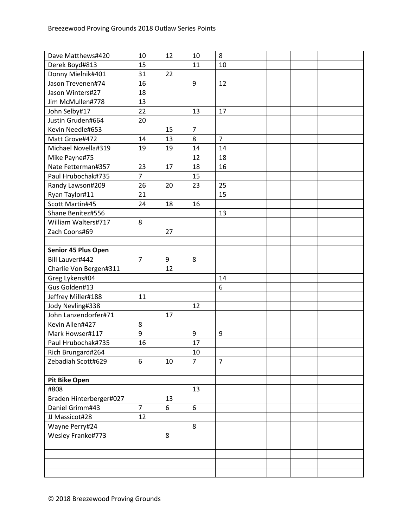| Dave Matthews#420       | 10             | 12 | 10             | 8              |  |  |
|-------------------------|----------------|----|----------------|----------------|--|--|
| Derek Boyd#813          | 15             |    | 11             | 10             |  |  |
| Donny Mielnik#401       | 31             | 22 |                |                |  |  |
| Jason Trevenen#74       | 16             |    | 9              | 12             |  |  |
| Jason Winters#27        | 18             |    |                |                |  |  |
| Jim McMullen#778        | 13             |    |                |                |  |  |
| John Selby#17           | 22             |    | 13             | 17             |  |  |
| Justin Gruden#664       | 20             |    |                |                |  |  |
| Kevin Needle#653        |                | 15 | $\overline{7}$ |                |  |  |
| Matt Grove#472          | 14             | 13 | 8              | $\overline{7}$ |  |  |
| Michael Novella#319     | 19             | 19 | 14             | 14             |  |  |
| Mike Payne#75           |                |    | 12             | 18             |  |  |
| Nate Fetterman#357      | 23             | 17 | 18             | 16             |  |  |
| Paul Hrubochak#735      | $\overline{7}$ |    | 15             |                |  |  |
| Randy Lawson#209        | 26             | 20 | 23             | 25             |  |  |
| Ryan Taylor#11          | 21             |    |                | 15             |  |  |
| Scott Martin#45         | 24             | 18 | 16             |                |  |  |
| Shane Benitez#556       |                |    |                | 13             |  |  |
| William Walters#717     | 8              |    |                |                |  |  |
| Zach Coons#69           |                | 27 |                |                |  |  |
|                         |                |    |                |                |  |  |
| Senior 45 Plus Open     |                |    |                |                |  |  |
| Bill Lauver#442         | $\overline{7}$ | 9  | 8              |                |  |  |
| Charlie Von Bergen#311  |                | 12 |                |                |  |  |
| Greg Lykens#04          |                |    |                | 14             |  |  |
| Gus Golden#13           |                |    |                | 6              |  |  |
| Jeffrey Miller#188      | 11             |    |                |                |  |  |
| Jody Nevling#338        |                |    | 12             |                |  |  |
| John Lanzendorfer#71    |                | 17 |                |                |  |  |
| Kevin Allen#427         | 8              |    |                |                |  |  |
| Mark Howser#117         | 9              |    | 9              | 9              |  |  |
| Paul Hrubochak#735      | 16             |    | 17             |                |  |  |
| Rich Brungard#264       |                |    | 10             |                |  |  |
| Zebadiah Scott#629      | 6              | 10 | $\overline{7}$ | $\overline{7}$ |  |  |
|                         |                |    |                |                |  |  |
| <b>Pit Bike Open</b>    |                |    |                |                |  |  |
| #808                    |                |    | 13             |                |  |  |
| Braden Hinterberger#027 |                | 13 |                |                |  |  |
| Daniel Grimm#43         | $\overline{7}$ | 6  | 6              |                |  |  |
| JJ Massicot#28          | 12             |    |                |                |  |  |
| Wayne Perry#24          |                |    | 8              |                |  |  |
| Wesley Franke#773       |                | 8  |                |                |  |  |
|                         |                |    |                |                |  |  |
|                         |                |    |                |                |  |  |
|                         |                |    |                |                |  |  |
|                         |                |    |                |                |  |  |
|                         |                |    |                |                |  |  |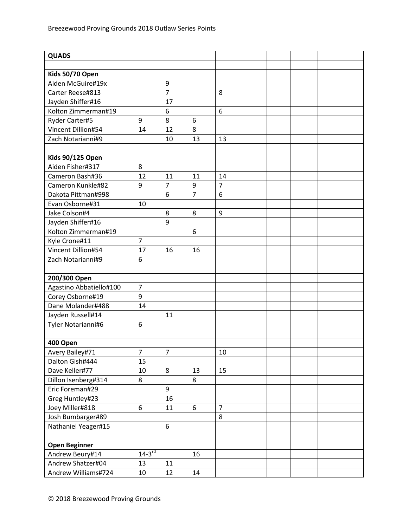| Kids 50/70 Open<br>Aiden McGuire#19x<br>9<br>$\overline{7}$<br>Carter Reese#813<br>8<br>Jayden Shiffer#16<br>17<br>Kolton Zimmerman#19<br>6<br>6<br>Ryder Carter#5<br>8<br>9<br>6<br>12<br>8<br>Vincent Dillion#54<br>14<br>Zach Notarianni#9<br>10<br>13<br>13<br><b>Kids 90/125 Open</b><br>Aiden Fisher#317<br>8<br>Cameron Bash#36<br>12<br>11<br>11<br>14<br>$\overline{7}$<br>$\overline{7}$<br>9<br>Cameron Kunkle#82<br>9<br>$\overline{7}$<br>$6\phantom{a}$<br>6<br>Dakota Pittman#998<br>Evan Osborne#31<br>10<br>Jake Colson#4<br>8<br>8<br>9<br>9<br>Jayden Shiffer#16<br>Kolton Zimmerman#19<br>6<br>$\overline{7}$<br>Kyle Crone#11<br>Vincent Dillion#54<br>17<br>16<br>16<br>Zach Notarianni#9<br>6<br>200/300 Open<br>Agastino Abbatiello#100<br>$\overline{7}$<br>Corey Osborne#19<br>9<br>Dane Molander#488<br>14<br>Jayden Russell#14<br>11<br>Tyler Notarianni#6<br>6<br>400 Open<br>Avery Bailey#71<br>$\overline{7}$<br>$\overline{7}$<br>10<br>Dalton Gish#444<br>15<br>Dave Keller#77<br>8<br>10<br>13<br>15<br>Dillon Isenberg#314<br>8<br>8<br>$\boldsymbol{9}$<br>Eric Foreman#29<br>Greg Huntley#23<br>16<br>Joey Miller#818<br>$\overline{7}$<br>6<br>11<br>6 | <b>QUADS</b>      |  |   |  |  |
|----------------------------------------------------------------------------------------------------------------------------------------------------------------------------------------------------------------------------------------------------------------------------------------------------------------------------------------------------------------------------------------------------------------------------------------------------------------------------------------------------------------------------------------------------------------------------------------------------------------------------------------------------------------------------------------------------------------------------------------------------------------------------------------------------------------------------------------------------------------------------------------------------------------------------------------------------------------------------------------------------------------------------------------------------------------------------------------------------------------------------------------------------------------------------------------------|-------------------|--|---|--|--|
|                                                                                                                                                                                                                                                                                                                                                                                                                                                                                                                                                                                                                                                                                                                                                                                                                                                                                                                                                                                                                                                                                                                                                                                              |                   |  |   |  |  |
|                                                                                                                                                                                                                                                                                                                                                                                                                                                                                                                                                                                                                                                                                                                                                                                                                                                                                                                                                                                                                                                                                                                                                                                              |                   |  |   |  |  |
|                                                                                                                                                                                                                                                                                                                                                                                                                                                                                                                                                                                                                                                                                                                                                                                                                                                                                                                                                                                                                                                                                                                                                                                              |                   |  |   |  |  |
|                                                                                                                                                                                                                                                                                                                                                                                                                                                                                                                                                                                                                                                                                                                                                                                                                                                                                                                                                                                                                                                                                                                                                                                              |                   |  |   |  |  |
|                                                                                                                                                                                                                                                                                                                                                                                                                                                                                                                                                                                                                                                                                                                                                                                                                                                                                                                                                                                                                                                                                                                                                                                              |                   |  |   |  |  |
|                                                                                                                                                                                                                                                                                                                                                                                                                                                                                                                                                                                                                                                                                                                                                                                                                                                                                                                                                                                                                                                                                                                                                                                              |                   |  |   |  |  |
|                                                                                                                                                                                                                                                                                                                                                                                                                                                                                                                                                                                                                                                                                                                                                                                                                                                                                                                                                                                                                                                                                                                                                                                              |                   |  |   |  |  |
|                                                                                                                                                                                                                                                                                                                                                                                                                                                                                                                                                                                                                                                                                                                                                                                                                                                                                                                                                                                                                                                                                                                                                                                              |                   |  |   |  |  |
|                                                                                                                                                                                                                                                                                                                                                                                                                                                                                                                                                                                                                                                                                                                                                                                                                                                                                                                                                                                                                                                                                                                                                                                              |                   |  |   |  |  |
|                                                                                                                                                                                                                                                                                                                                                                                                                                                                                                                                                                                                                                                                                                                                                                                                                                                                                                                                                                                                                                                                                                                                                                                              |                   |  |   |  |  |
|                                                                                                                                                                                                                                                                                                                                                                                                                                                                                                                                                                                                                                                                                                                                                                                                                                                                                                                                                                                                                                                                                                                                                                                              |                   |  |   |  |  |
|                                                                                                                                                                                                                                                                                                                                                                                                                                                                                                                                                                                                                                                                                                                                                                                                                                                                                                                                                                                                                                                                                                                                                                                              |                   |  |   |  |  |
|                                                                                                                                                                                                                                                                                                                                                                                                                                                                                                                                                                                                                                                                                                                                                                                                                                                                                                                                                                                                                                                                                                                                                                                              |                   |  |   |  |  |
|                                                                                                                                                                                                                                                                                                                                                                                                                                                                                                                                                                                                                                                                                                                                                                                                                                                                                                                                                                                                                                                                                                                                                                                              |                   |  |   |  |  |
|                                                                                                                                                                                                                                                                                                                                                                                                                                                                                                                                                                                                                                                                                                                                                                                                                                                                                                                                                                                                                                                                                                                                                                                              |                   |  |   |  |  |
|                                                                                                                                                                                                                                                                                                                                                                                                                                                                                                                                                                                                                                                                                                                                                                                                                                                                                                                                                                                                                                                                                                                                                                                              |                   |  |   |  |  |
|                                                                                                                                                                                                                                                                                                                                                                                                                                                                                                                                                                                                                                                                                                                                                                                                                                                                                                                                                                                                                                                                                                                                                                                              |                   |  |   |  |  |
|                                                                                                                                                                                                                                                                                                                                                                                                                                                                                                                                                                                                                                                                                                                                                                                                                                                                                                                                                                                                                                                                                                                                                                                              |                   |  |   |  |  |
|                                                                                                                                                                                                                                                                                                                                                                                                                                                                                                                                                                                                                                                                                                                                                                                                                                                                                                                                                                                                                                                                                                                                                                                              |                   |  |   |  |  |
|                                                                                                                                                                                                                                                                                                                                                                                                                                                                                                                                                                                                                                                                                                                                                                                                                                                                                                                                                                                                                                                                                                                                                                                              |                   |  |   |  |  |
|                                                                                                                                                                                                                                                                                                                                                                                                                                                                                                                                                                                                                                                                                                                                                                                                                                                                                                                                                                                                                                                                                                                                                                                              |                   |  |   |  |  |
|                                                                                                                                                                                                                                                                                                                                                                                                                                                                                                                                                                                                                                                                                                                                                                                                                                                                                                                                                                                                                                                                                                                                                                                              |                   |  |   |  |  |
|                                                                                                                                                                                                                                                                                                                                                                                                                                                                                                                                                                                                                                                                                                                                                                                                                                                                                                                                                                                                                                                                                                                                                                                              |                   |  |   |  |  |
|                                                                                                                                                                                                                                                                                                                                                                                                                                                                                                                                                                                                                                                                                                                                                                                                                                                                                                                                                                                                                                                                                                                                                                                              |                   |  |   |  |  |
|                                                                                                                                                                                                                                                                                                                                                                                                                                                                                                                                                                                                                                                                                                                                                                                                                                                                                                                                                                                                                                                                                                                                                                                              |                   |  |   |  |  |
|                                                                                                                                                                                                                                                                                                                                                                                                                                                                                                                                                                                                                                                                                                                                                                                                                                                                                                                                                                                                                                                                                                                                                                                              |                   |  |   |  |  |
|                                                                                                                                                                                                                                                                                                                                                                                                                                                                                                                                                                                                                                                                                                                                                                                                                                                                                                                                                                                                                                                                                                                                                                                              |                   |  |   |  |  |
|                                                                                                                                                                                                                                                                                                                                                                                                                                                                                                                                                                                                                                                                                                                                                                                                                                                                                                                                                                                                                                                                                                                                                                                              |                   |  |   |  |  |
|                                                                                                                                                                                                                                                                                                                                                                                                                                                                                                                                                                                                                                                                                                                                                                                                                                                                                                                                                                                                                                                                                                                                                                                              |                   |  |   |  |  |
|                                                                                                                                                                                                                                                                                                                                                                                                                                                                                                                                                                                                                                                                                                                                                                                                                                                                                                                                                                                                                                                                                                                                                                                              |                   |  |   |  |  |
|                                                                                                                                                                                                                                                                                                                                                                                                                                                                                                                                                                                                                                                                                                                                                                                                                                                                                                                                                                                                                                                                                                                                                                                              |                   |  |   |  |  |
|                                                                                                                                                                                                                                                                                                                                                                                                                                                                                                                                                                                                                                                                                                                                                                                                                                                                                                                                                                                                                                                                                                                                                                                              |                   |  |   |  |  |
|                                                                                                                                                                                                                                                                                                                                                                                                                                                                                                                                                                                                                                                                                                                                                                                                                                                                                                                                                                                                                                                                                                                                                                                              |                   |  |   |  |  |
|                                                                                                                                                                                                                                                                                                                                                                                                                                                                                                                                                                                                                                                                                                                                                                                                                                                                                                                                                                                                                                                                                                                                                                                              |                   |  |   |  |  |
|                                                                                                                                                                                                                                                                                                                                                                                                                                                                                                                                                                                                                                                                                                                                                                                                                                                                                                                                                                                                                                                                                                                                                                                              |                   |  |   |  |  |
|                                                                                                                                                                                                                                                                                                                                                                                                                                                                                                                                                                                                                                                                                                                                                                                                                                                                                                                                                                                                                                                                                                                                                                                              |                   |  |   |  |  |
|                                                                                                                                                                                                                                                                                                                                                                                                                                                                                                                                                                                                                                                                                                                                                                                                                                                                                                                                                                                                                                                                                                                                                                                              |                   |  |   |  |  |
|                                                                                                                                                                                                                                                                                                                                                                                                                                                                                                                                                                                                                                                                                                                                                                                                                                                                                                                                                                                                                                                                                                                                                                                              |                   |  |   |  |  |
|                                                                                                                                                                                                                                                                                                                                                                                                                                                                                                                                                                                                                                                                                                                                                                                                                                                                                                                                                                                                                                                                                                                                                                                              | Josh Bumbarger#89 |  | 8 |  |  |
| Nathaniel Yeager#15<br>6                                                                                                                                                                                                                                                                                                                                                                                                                                                                                                                                                                                                                                                                                                                                                                                                                                                                                                                                                                                                                                                                                                                                                                     |                   |  |   |  |  |
|                                                                                                                                                                                                                                                                                                                                                                                                                                                                                                                                                                                                                                                                                                                                                                                                                                                                                                                                                                                                                                                                                                                                                                                              |                   |  |   |  |  |
| <b>Open Beginner</b>                                                                                                                                                                                                                                                                                                                                                                                                                                                                                                                                                                                                                                                                                                                                                                                                                                                                                                                                                                                                                                                                                                                                                                         |                   |  |   |  |  |
| $14-3^{rd}$<br>Andrew Beury#14<br>16                                                                                                                                                                                                                                                                                                                                                                                                                                                                                                                                                                                                                                                                                                                                                                                                                                                                                                                                                                                                                                                                                                                                                         |                   |  |   |  |  |
| Andrew Shatzer#04<br>11<br>13                                                                                                                                                                                                                                                                                                                                                                                                                                                                                                                                                                                                                                                                                                                                                                                                                                                                                                                                                                                                                                                                                                                                                                |                   |  |   |  |  |
| Andrew Williams#724<br>12<br>10<br>14                                                                                                                                                                                                                                                                                                                                                                                                                                                                                                                                                                                                                                                                                                                                                                                                                                                                                                                                                                                                                                                                                                                                                        |                   |  |   |  |  |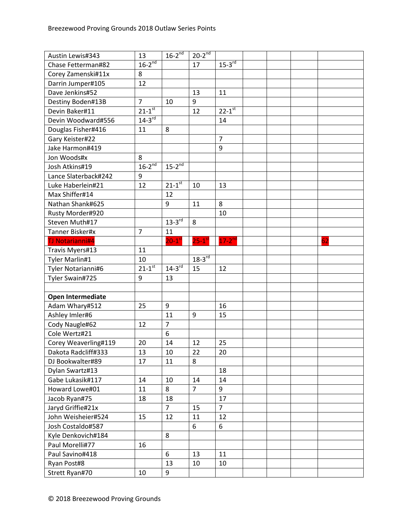| Austin Lewis#343       | 13             | $16-2^{nd}$            | $20-2^{nd}$          |                |  |    |
|------------------------|----------------|------------------------|----------------------|----------------|--|----|
| Chase Fetterman#82     | $16-2^{nd}$    |                        | 17                   | $15-3^{rd}$    |  |    |
| Corey Zamenski#11x     | 8              |                        |                      |                |  |    |
| Darrin Jumper#105      | 12             |                        |                      |                |  |    |
| Dave Jenkins#52        |                |                        | 13                   | 11             |  |    |
| Destiny Boden#13B      | $\overline{7}$ | 10                     | 9                    |                |  |    |
| Devin Baker#11         | $21 - 1^{st}$  |                        | 12                   | $22 - 1^{st}$  |  |    |
| Devin Woodward#556     | $14-3^{rd}$    |                        |                      | 14             |  |    |
| Douglas Fisher#416     | 11             | 8                      |                      |                |  |    |
| Gary Keister#22        |                |                        |                      | $\overline{7}$ |  |    |
| Jake Harmon#419        |                |                        |                      | 9              |  |    |
| Jon Woods#x            | 8              |                        |                      |                |  |    |
| Josh Atkins#19         | $16-2^{nd}$    | $15-2^{nd}$            |                      |                |  |    |
| Lance Slaterback#242   | 9              |                        |                      |                |  |    |
| Luke Haberlein#21      | 12             | $21 - 1$ <sup>st</sup> | 10                   | 13             |  |    |
| Max Shiffer#14         |                | 12                     |                      |                |  |    |
| Nathan Shank#625       |                | 9                      | 11                   | 8              |  |    |
| Rusty Morder#920       |                |                        |                      | 10             |  |    |
| Steven Muth#17         |                | $13-3^{rd}$            | 8                    |                |  |    |
| Tanner Bisker#x        | $\overline{7}$ | 11                     |                      |                |  |    |
| <b>TJ Notarianni#4</b> |                | $20-1$ <sup>st</sup>   | $25-1$ <sup>st</sup> | $17-2^{nd}$    |  | 62 |
| Travis Myers#13        | 11             |                        |                      |                |  |    |
| Tyler Marlin#1         | 10             |                        | $18-3^{rd}$          |                |  |    |
| Tyler Notarianni#6     | $21 - 1^{st}$  | $14-3^{rd}$            | 15                   | 12             |  |    |
| Tyler Swain#725        | 9              | 13                     |                      |                |  |    |
|                        |                |                        |                      |                |  |    |
| Open Intermediate      |                |                        |                      |                |  |    |
| Adam Whary#512         | 25             | 9                      |                      | 16             |  |    |
| Ashley Imler#6         |                | 11                     | 9                    | 15             |  |    |
| Cody Naugle#62         | 12             | $\overline{7}$         |                      |                |  |    |
| Cole Wertz#21          |                | 6                      |                      |                |  |    |
| Corey Weaverling#119   | 20             | 14                     | 12                   | 25             |  |    |
| Dakota Radcliff#333    | 13             | 10                     | 22                   | 20             |  |    |
| DJ Bookwalter#89       | 17             | 11                     | 8                    |                |  |    |
| Dylan Swartz#13        |                |                        |                      | 18             |  |    |
| Gabe Lukasik#117       | 14             | 10                     | 14                   | 14             |  |    |
| Howard Lowe#01         | 11             | 8                      | $\overline{7}$       | 9              |  |    |
| Jacob Ryan#75          | 18             | 18                     |                      | 17             |  |    |
| Jaryd Griffie#21x      |                | $\overline{7}$         | 15                   | $\overline{7}$ |  |    |
| John Weisheier#524     | 15             | 12                     | 11                   | 12             |  |    |
| Josh Costaldo#587      |                |                        | 6                    | 6              |  |    |
| Kyle Denkovich#184     |                | 8                      |                      |                |  |    |
| Paul Morelli#77        |                |                        |                      |                |  |    |
|                        | 16             |                        |                      |                |  |    |
| Paul Savino#418        |                | $6\,$                  | 13                   | 11             |  |    |
| Ryan Post#8            |                | 13                     | 10                   | 10             |  |    |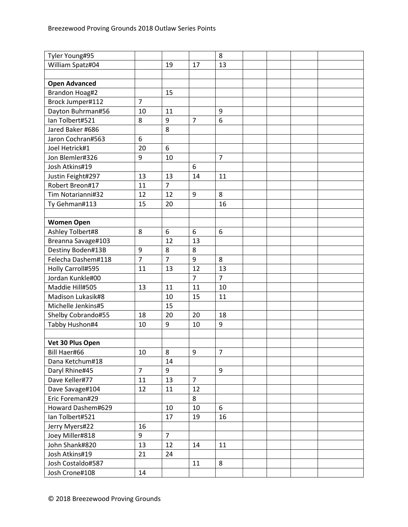| Tyler Young#95       |                |                |                | 8              |  |  |
|----------------------|----------------|----------------|----------------|----------------|--|--|
| William Spatz#04     |                | 19             | 17             | 13             |  |  |
|                      |                |                |                |                |  |  |
| <b>Open Advanced</b> |                |                |                |                |  |  |
| Brandon Hoag#2       |                | 15             |                |                |  |  |
| Brock Jumper#112     | $\overline{7}$ |                |                |                |  |  |
| Dayton Buhrman#56    | 10             | 11             |                | 9              |  |  |
| Ian Tolbert#521      | 8              | 9              | $\overline{7}$ | 6              |  |  |
| Jared Baker #686     |                | 8              |                |                |  |  |
| Jaron Cochran#563    | 6              |                |                |                |  |  |
| Joel Hetrick#1       | 20             | 6              |                |                |  |  |
| Jon Blemler#326      | 9              | 10             |                | $\overline{7}$ |  |  |
| Josh Atkins#19       |                |                | 6              |                |  |  |
| Justin Feight#297    | 13             | 13             | 14             | 11             |  |  |
| Robert Breon#17      | 11             | $\overline{7}$ |                |                |  |  |
| Tim Notarianni#32    | 12             | 12             | 9              | 8              |  |  |
| Ty Gehman#113        | 15             | 20             |                | 16             |  |  |
|                      |                |                |                |                |  |  |
| <b>Women Open</b>    |                |                |                |                |  |  |
| Ashley Tolbert#8     | 8              | 6              | 6              | 6              |  |  |
| Breanna Savage#103   |                | 12             | 13             |                |  |  |
| Destiny Boden#13B    | 9              | 8              | 8              |                |  |  |
| Felecha Dashem#118   | $\overline{7}$ | $\overline{7}$ | 9              | 8              |  |  |
| Holly Carroll#595    | 11             | 13             | 12             | 13             |  |  |
| Jordan Kunkle#00     |                |                | $\overline{7}$ | $\overline{7}$ |  |  |
| Maddie Hill#505      | 13             | 11             | 11             | 10             |  |  |
| Madison Lukasik#8    |                | 10             | 15             | 11             |  |  |
| Michelle Jenkins#5   |                | 15             |                |                |  |  |
| Shelby Cobrando#55   | 18             | 20             | 20             | 18             |  |  |
| Tabby Hushon#4       | 10             | 9              | 10             | 9              |  |  |
|                      |                |                |                |                |  |  |
| Vet 30 Plus Open     |                |                |                |                |  |  |
| Bill Haer#66         | 10             | 8              | 9              | 7              |  |  |
| Dana Ketchum#18      |                | 14             |                |                |  |  |
| Daryl Rhine#45       | $\overline{7}$ | 9              |                | 9              |  |  |
| Dave Keller#77       | 11             | 13             | $\overline{7}$ |                |  |  |
| Dave Savage#104      | 12             | 11             | 12             |                |  |  |
| Eric Foreman#29      |                |                | 8              |                |  |  |
| Howard Dashem#629    |                | 10             | 10             | 6              |  |  |
| Ian Tolbert#521      |                | 17             | 19             | 16             |  |  |
| Jerry Myers#22       | 16             |                |                |                |  |  |
| Joey Miller#818      | 9              | $\overline{7}$ |                |                |  |  |
| John Shank#820       | 13             | 12             | 14             | 11             |  |  |
| Josh Atkins#19       | 21             | 24             |                |                |  |  |
| Josh Costaldo#587    |                |                | 11             | 8              |  |  |
| Josh Crone#108       | 14             |                |                |                |  |  |
|                      |                |                |                |                |  |  |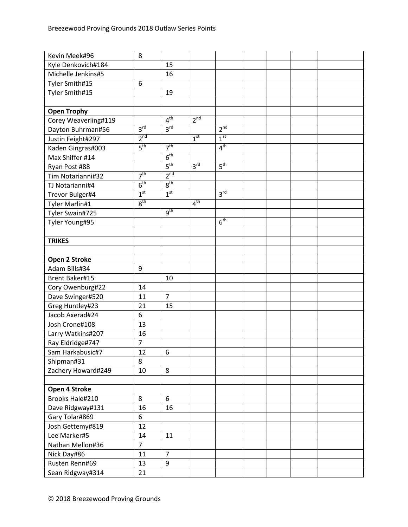| Kevin Meek#96         | 8               |                 |                 |                 |  |  |
|-----------------------|-----------------|-----------------|-----------------|-----------------|--|--|
| Kyle Denkovich#184    |                 | 15              |                 |                 |  |  |
| Michelle Jenkins#5    |                 | 16              |                 |                 |  |  |
| Tyler Smith#15        | 6               |                 |                 |                 |  |  |
| Tyler Smith#15        |                 | 19              |                 |                 |  |  |
|                       |                 |                 |                 |                 |  |  |
| <b>Open Trophy</b>    |                 |                 |                 |                 |  |  |
| Corey Weaverling#119  |                 | 4 <sup>th</sup> | 2 <sup>nd</sup> |                 |  |  |
| Dayton Buhrman#56     | 3 <sup>rd</sup> | 3 <sup>rd</sup> |                 | 2 <sup>nd</sup> |  |  |
| Justin Feight#297     | 2 <sup>nd</sup> |                 | 1 <sup>st</sup> | 1 <sup>st</sup> |  |  |
| Kaden Gingras#003     | 5 <sup>th</sup> | 7 <sup>th</sup> |                 | 4 <sup>th</sup> |  |  |
| Max Shiffer #14       |                 | 6 <sup>th</sup> |                 |                 |  |  |
| Ryan Post #88         |                 | 5 <sup>th</sup> | 3 <sup>rd</sup> | 5 <sup>th</sup> |  |  |
| Tim Notarianni#32     | 7 <sup>th</sup> | 2 <sup>nd</sup> |                 |                 |  |  |
| TJ Notarianni#4       | 6 <sup>th</sup> | 8 <sup>th</sup> |                 |                 |  |  |
| Trevor Bulger#4       | 1 <sup>st</sup> | 1 <sup>st</sup> |                 | 3 <sup>rd</sup> |  |  |
| Tyler Marlin#1        | 8 <sup>th</sup> |                 | 4 <sup>th</sup> |                 |  |  |
| Tyler Swain#725       |                 | $9^{\text{th}}$ |                 |                 |  |  |
| Tyler Young#95        |                 |                 |                 | 6 <sup>th</sup> |  |  |
|                       |                 |                 |                 |                 |  |  |
| <b>TRIKES</b>         |                 |                 |                 |                 |  |  |
|                       |                 |                 |                 |                 |  |  |
| Open 2 Stroke         |                 |                 |                 |                 |  |  |
| Adam Bills#34         | 9               |                 |                 |                 |  |  |
| <b>Brent Baker#15</b> |                 | 10              |                 |                 |  |  |
| Cory Owenburg#22      | 14              |                 |                 |                 |  |  |
| Dave Swinger#520      | 11              | $\overline{7}$  |                 |                 |  |  |
| Greg Huntley#23       | 21              | 15              |                 |                 |  |  |
| Jacob Axerad#24       | 6               |                 |                 |                 |  |  |
| Josh Crone#108        | 13              |                 |                 |                 |  |  |
| Larry Watkins#207     | 16              |                 |                 |                 |  |  |
| Ray Eldridge#747      | $\overline{7}$  |                 |                 |                 |  |  |
| Sam Harkabusic#7      | 12              | 6               |                 |                 |  |  |
| Shipman#31            | 8               |                 |                 |                 |  |  |
| Zachery Howard#249    | 10              | 8               |                 |                 |  |  |
|                       |                 |                 |                 |                 |  |  |
| Open 4 Stroke         |                 |                 |                 |                 |  |  |
| Brooks Hale#210       | 8               | $6\phantom{a}$  |                 |                 |  |  |
| Dave Ridgway#131      | 16              | 16              |                 |                 |  |  |
| Gary Tolar#869        | 6               |                 |                 |                 |  |  |
| Josh Gettemy#819      | 12              |                 |                 |                 |  |  |
| Lee Marker#5          | 14              | 11              |                 |                 |  |  |
| Nathan Mellon#36      | $\overline{7}$  |                 |                 |                 |  |  |
| Nick Day#86           | 11              | $\overline{7}$  |                 |                 |  |  |
| Rusten Renn#69        | 13              | 9               |                 |                 |  |  |
| Sean Ridgway#314      | 21              |                 |                 |                 |  |  |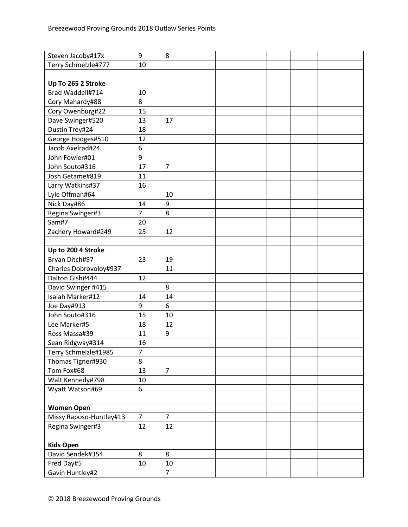| Steven Jacoby#17x       | 9                | 8              |  |  |  |
|-------------------------|------------------|----------------|--|--|--|
| Terry Schmelzle#777     | 10               |                |  |  |  |
|                         |                  |                |  |  |  |
| Up To 265 2 Stroke      |                  |                |  |  |  |
| Brad Waddell#714        | 10               |                |  |  |  |
| Cory Mahardy#88         | 8                |                |  |  |  |
| Cory Owenburg#22        | 15               |                |  |  |  |
| Dave Swinger#520        | 13               | 17             |  |  |  |
| Dustin Trey#24          | 18               |                |  |  |  |
| George Hodges#510       | 12               |                |  |  |  |
| Jacob Axelrad#24        | $\boldsymbol{6}$ |                |  |  |  |
| John Fowler#01          | 9                |                |  |  |  |
| John Souto#316          | 17               | $\overline{7}$ |  |  |  |
| Josh Getame#819         | 11               |                |  |  |  |
| Larry Watkins#37        | 16               |                |  |  |  |
| Lyle Offman#64          |                  | 10             |  |  |  |
| Nick Day#86             | 14               | 9              |  |  |  |
| Regina Swinger#3        | $\overline{7}$   | 8              |  |  |  |
| Sam#7                   | 20               |                |  |  |  |
| Zachery Howard#249      | 25               | 12             |  |  |  |
|                         |                  |                |  |  |  |
| Up to 200 4 Stroke      |                  |                |  |  |  |
| Bryan Ditch#97          | 23               | 19             |  |  |  |
| Charles Dobrovoloy#937  |                  | 11             |  |  |  |
| Dalton Gish#444         | 12               |                |  |  |  |
| David Swinger #415      |                  | 8              |  |  |  |
| Isaiah Marker#12        | 14               | 14             |  |  |  |
| Joe Day#913             | 9                | 6              |  |  |  |
| John Souto#316          | 15               | 10             |  |  |  |
| Lee Marker#5            | 18               | 12             |  |  |  |
| Ross Massa#39           | 11               | 9              |  |  |  |
| Sean Ridgway#314        | 16               |                |  |  |  |
| Terry Schmelzle#1985    | 7                |                |  |  |  |
| Thomas Tigner#930       | 8                |                |  |  |  |
| Tom Fox#68              | 13               | $\overline{7}$ |  |  |  |
| Walt Kennedy#798        | 10               |                |  |  |  |
| Wyatt Watson#69         | 6                |                |  |  |  |
|                         |                  |                |  |  |  |
| <b>Women Open</b>       |                  |                |  |  |  |
| Missy Raposo-Huntley#13 | $\overline{7}$   | $\overline{7}$ |  |  |  |
| Regina Swinger#3        | 12               | 12             |  |  |  |
|                         |                  |                |  |  |  |
| <b>Kids Open</b>        |                  |                |  |  |  |
| David Sendek#354        | 8                | 8              |  |  |  |
| Fred Day#5              | 10               | 10             |  |  |  |
| Gavin Huntley#2         |                  | $\overline{7}$ |  |  |  |